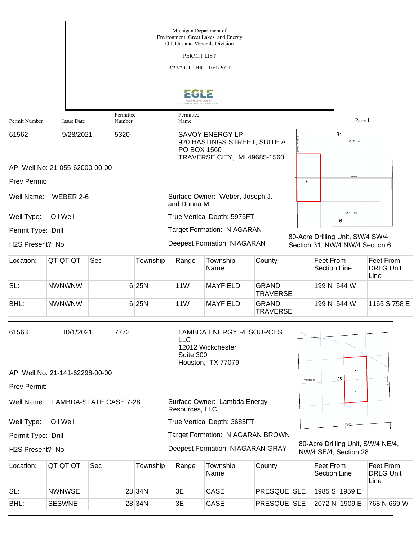|                                                                                               |                                 |                     |          | 9/27/2021 THRU 10/1/2021 |                                                                                        |                                 |                 |                                  |    |                           |                                                                      |
|-----------------------------------------------------------------------------------------------|---------------------------------|---------------------|----------|--------------------------|----------------------------------------------------------------------------------------|---------------------------------|-----------------|----------------------------------|----|---------------------------|----------------------------------------------------------------------|
|                                                                                               |                                 |                     |          |                          |                                                                                        |                                 |                 |                                  |    |                           |                                                                      |
|                                                                                               |                                 |                     |          |                          |                                                                                        |                                 |                 |                                  |    |                           |                                                                      |
| Permit Number                                                                                 | <b>Issue Date</b>               | Permittee<br>Number |          | Permittee<br>Name        |                                                                                        |                                 |                 |                                  |    | Page 1                    |                                                                      |
| 61562                                                                                         | 9/28/2021                       | 5320                |          | PO BOX 1560              | <b>SAVOY ENERGY LP</b><br>920 HASTINGS STREET, SUITE A<br>TRAVERSE CITY, MI 49685-1560 |                                 |                 |                                  | 31 | <b>T26NR11W</b>           |                                                                      |
|                                                                                               | API Well No: 21-055-62000-00-00 |                     |          |                          |                                                                                        |                                 |                 |                                  |    |                           |                                                                      |
| Prev Permit:                                                                                  |                                 |                     |          |                          |                                                                                        |                                 | ٠               |                                  |    |                           |                                                                      |
| Well Name:                                                                                    | WEBER 2-6                       |                     |          | and Donna M.             | Surface Owner: Weber, Joseph J.                                                        |                                 |                 |                                  |    |                           |                                                                      |
| Well Type:                                                                                    | Oil Well                        |                     |          |                          | True Vertical Depth: 5975FT                                                            |                                 |                 |                                  | 6  | <b>T25NR11W</b>           |                                                                      |
| Permit Type: Drill                                                                            |                                 |                     |          |                          | <b>Target Formation: NIAGARAN</b>                                                      |                                 |                 |                                  |    |                           |                                                                      |
| H2S Present? No                                                                               |                                 |                     |          |                          | <b>Deepest Formation: NIAGARAN</b>                                                     |                                 |                 |                                  |    |                           | 80-Acre Drilling Unit, SW/4 SW/4<br>Section 31, NW/4 NW/4 Section 6. |
| Location:                                                                                     | QT QT QT                        | Sec                 | Township | Range                    | Township<br>Name                                                                       | County                          |                 | Feet From<br><b>Section Line</b> |    |                           | Feet From<br><b>DRLG Unit</b><br>Line                                |
| SL:                                                                                           | <b>NWNWNW</b>                   |                     | 6 25N    | <b>11W</b>               | <b>MAYFIELD</b>                                                                        | <b>GRAND</b><br><b>TRAVERSE</b> |                 | 199 N 544 W                      |    |                           |                                                                      |
| BHL:                                                                                          | <b>NWNWNW</b>                   |                     | 6 25N    | <b>11W</b>               | <b>MAYFIELD</b>                                                                        | <b>GRAND</b><br><b>TRAVERSE</b> |                 | 199 N 544 W                      |    |                           | 1165 S 758 E                                                         |
|                                                                                               |                                 |                     |          |                          |                                                                                        |                                 |                 |                                  |    |                           |                                                                      |
| 61563                                                                                         | 10/1/2021                       | 7772                |          | <b>LLC</b><br>Suite 300  | <b>LAMBDA ENERGY RESOURCES</b><br>12012 Wickchester                                    |                                 |                 |                                  |    |                           |                                                                      |
|                                                                                               | API Well No: 21-141-62298-00-00 |                     |          |                          | Houston, TX 77079                                                                      |                                 |                 |                                  |    |                           |                                                                      |
| Prev Permit:                                                                                  |                                 |                     |          |                          |                                                                                        |                                 | <b>T34NR03E</b> |                                  | 28 |                           |                                                                      |
| Surface Owner: Lambda Energy<br>Well Name:<br><b>LAMBDA-STATE CASE 7-28</b><br>Resources, LLC |                                 |                     |          |                          |                                                                                        |                                 |                 |                                  |    | $\boldsymbol{\mathsf{x}}$ |                                                                      |
| Well Type:                                                                                    | Oil Well                        |                     |          |                          | True Vertical Depth: 3685FT                                                            |                                 |                 |                                  |    |                           |                                                                      |
| Permit Type: Drill                                                                            |                                 |                     |          |                          | Target Formation: NIAGARAN BROWN                                                       |                                 |                 |                                  |    |                           |                                                                      |
| H2S Present? No                                                                               |                                 |                     |          |                          | Deepest Formation: NIAGARAN GRAY                                                       |                                 |                 |                                  |    | NW/4 SE/4, Section 28     | 80-Acre Drilling Unit, SW/4 NE/4,                                    |
| Location:                                                                                     | QT QT QT                        | Sec                 | Township | Range                    | Township<br>Name                                                                       | County                          |                 | Feet From<br>Section Line        |    |                           | Feet From<br><b>DRLG Unit</b>                                        |

| Location: | IQI QI QI     | Sec | Township | Range | Township<br>Name | County              | <b>Feet From</b><br>Section Line | <b>Feet From</b><br><b>DRLG Unit</b><br>Line |
|-----------|---------------|-----|----------|-------|------------------|---------------------|----------------------------------|----------------------------------------------|
| SL:       | <b>NWNWSE</b> |     | 28 34 N  | 3E    | CASE             | <b>PRESQUE ISLE</b> | 1985 S 1959 E                    |                                              |
| BHL:      | <b>SESWNE</b> |     | 28 34 N  | ЗE    | CASE             | <b>PRESQUE ISLE</b> | 2072 N 1909 E                    | 768 N 669 W                                  |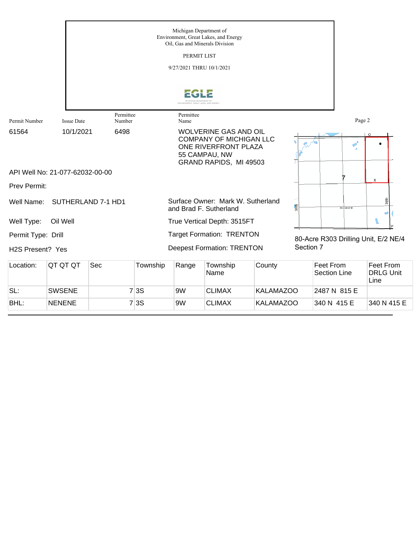|                               |                                 |                     |          | Michigan Department of<br>PERMIT LIST<br>9/27/2021 THRU 10/1/2021                                                                 | Environment, Great Lakes, and Energy<br>Oil, Gas and Minerals Division |                  |           |                                      |                            |                                       |
|-------------------------------|---------------------------------|---------------------|----------|-----------------------------------------------------------------------------------------------------------------------------------|------------------------------------------------------------------------|------------------|-----------|--------------------------------------|----------------------------|---------------------------------------|
|                               |                                 |                     |          | ENVIRONMENT GREAT LAKES AND ENERGY                                                                                                |                                                                        |                  |           |                                      |                            |                                       |
| Permit Number                 | <b>Issue Date</b>               | Permittee<br>Number |          | Permittee<br>Name                                                                                                                 |                                                                        |                  |           |                                      | Page 2                     |                                       |
| 61564                         | 10/1/2021                       | 6498                |          | <b>WOLVERINE GAS AND OIL</b><br><b>COMPANY OF MICHIGAN LLC</b><br>ONE RIVERFRONT PLAZA<br>55 CAMPAU, NW<br>GRAND RAPIDS, MI 49503 |                                                                        |                  |           |                                      | $\rightarrow$ <sup>0</sup> | $\circ$                               |
|                               | API Well No: 21-077-62032-00-00 |                     |          |                                                                                                                                   |                                                                        |                  |           |                                      |                            | x                                     |
| <b>Prev Permit:</b>           |                                 |                     |          |                                                                                                                                   |                                                                        |                  |           |                                      |                            |                                       |
| Well Name:                    |                                 | SUTHERLAND 7-1 HD1  |          |                                                                                                                                   | Surface Owner: Mark W. Sutherland<br>and Brad F. Sutherland            |                  | 36th      | <b>TO3 SROP W</b>                    |                            | 38th                                  |
| Well Type:                    | Oil Well                        |                     |          |                                                                                                                                   | True Vertical Depth: 3515FT                                            |                  |           |                                      |                            |                                       |
| Permit Type: Drill            |                                 |                     |          |                                                                                                                                   | <b>Target Formation: TRENTON</b>                                       |                  |           | 80-Acre R303 Drilling Unit, E/2 NE/4 |                            |                                       |
| H <sub>2</sub> S Present? Yes |                                 |                     |          |                                                                                                                                   | <b>Deepest Formation: TRENTON</b>                                      |                  | Section 7 |                                      |                            |                                       |
| Location:                     | QT QT QT                        | Sec                 | Township | Range                                                                                                                             | Township<br>Name                                                       | County           |           | Feet From<br><b>Section Line</b>     |                            | Feet From<br><b>DRLG Unit</b><br>Line |
| SL:                           | <b>SWSENE</b>                   |                     | 7 3S     | 9W                                                                                                                                | <b>CLIMAX</b>                                                          | <b>KALAMAZOO</b> |           | 2487 N 815 E                         |                            |                                       |

BHL: NENENE 7 3S 9W CLIMAX KALAMAZOO 340 N 415 E 340 N 415 E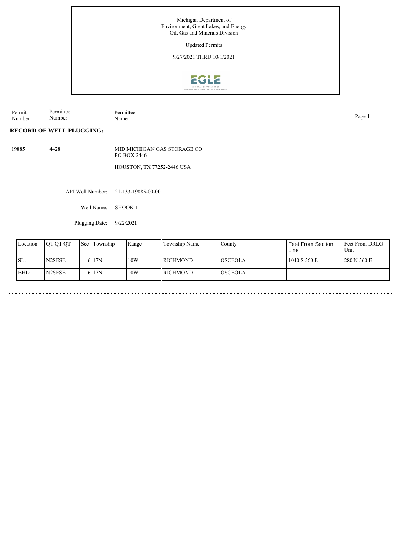Michigan Department of Environment, Great Lakes, and Energy Oil, Gas and Minerals Division

Updated Permits

9/27/2021 THRU 10/1/2021



Permit Number Permittee Number Permittee<br>Name Name Page 1

**RECORD OF WELL PLUGGING:**

19885 4428 MID MICHIGAN GAS STORAGE CO PO BOX 2446 HOUSTON, TX 77252-2446 USA

API Well Number: 21-133-19885-00-00

Well Name: SHOOK 1

Plugging Date: 9/22/2021

| Location | <b>OT OT OT</b>     | <b>Sec</b> | Township | Range | Township Name | County           | Feet From Section<br>Line | <b>Feet From DRLG</b><br>Unit |
|----------|---------------------|------------|----------|-------|---------------|------------------|---------------------------|-------------------------------|
| SL:      | N <sub>2</sub> SESE |            | 6 17N    | 10W   | l richmond    | <b>l</b> osceola | 1040 S 560 E              | 280 N 560 E                   |
| BHL:     | N2SESE              |            | 6 17N    | 10W   | l richmond    | <b>OSCEOLA</b>   |                           |                               |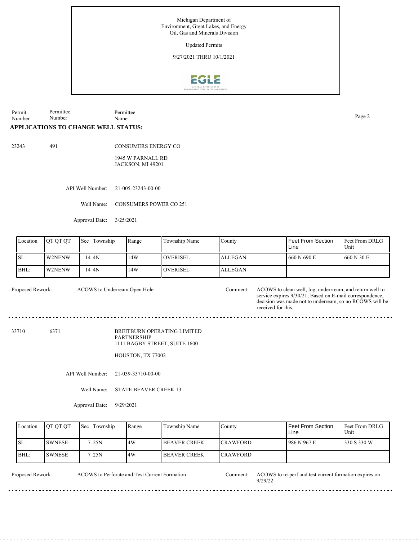Michigan Department of Environment, Great Lakes, and Energy Oil, Gas and Minerals Division

Updated Permits

9/27/2021 THRU 10/1/2021



Permit Number Permittee Number Permittee Page 2<br>Name

## **APPLICATIONS TO CHANGE WELL STATUS:**

23243 491

CONSUMERS ENERGY CO

1945 W PARNALL RD JACKSON, MI 49201

API Well Number: 21-005-23243-00-00

Well Name: CONSUMERS POWER CO 251

Approval Date: 3/25/2021

| Location | <b>OT OT OT</b> | Sec | Township | Range | Township Name    | County         | <b>Feet From Section</b><br>Line | Feet From DRLG<br>Unit |
|----------|-----------------|-----|----------|-------|------------------|----------------|----------------------------------|------------------------|
| SL:      | W2NENW          |     | 14 I 4 N | 14W   | <b>LOVERISEL</b> | <b>ALLEGAN</b> | 660 N 690 E                      | 1660 N 30 E            |
| BHL:     | W2NENW          |     | 14 I 4 N | 14W   | <b>LOVERISEL</b> | <b>ALLEGAN</b> |                                  |                        |

ACOWS to Underream Open Hole

Proposed Rework: ACOWS to clean well, log, underrream, and return well to service expires 9/30/21; Based on E-mail correspondence, decision was made not to underream, so no RCOWS will be received for this.

<u>. . . . . . . . . . .</u>

33710 6371

BREITBURN OPERATING LIMITED PARTNERSHIP 1111 BAGBY STREET, SUITE 1600

HOUSTON, TX 77002

API Well Number: 21-039-33710-00-00

Well Name: STATE BEAVER CREEK 13

Approval Date: 9/29/2021

| Location | IOT OT OT | Sec Township | Range | Township Name         | County           | Feet From Section<br>Line | <b>Feet From DRLG</b><br>Unit |
|----------|-----------|--------------|-------|-----------------------|------------------|---------------------------|-------------------------------|
| SL:      | ISWNESE   | 7 I25N       | 4W    | <b>IBEAVER CREEK</b>  | <b>ICRAWFORD</b> | 1986 N 967 E              | 1330 S 330 W                  |
| $IBHL$ : | ISWNESE   | 7125N        | 4W    | <b>I BEAVER CREEK</b> | <b>CRAWFORD</b>  |                           |                               |

 $- - - -$ 

ACOWS to Perforate and Test Current Formation

Proposed Rework: ACOWS to Perforate and Test Current Formation Comment: ACOWS to re-perf and test current formation expires on 9/29/22